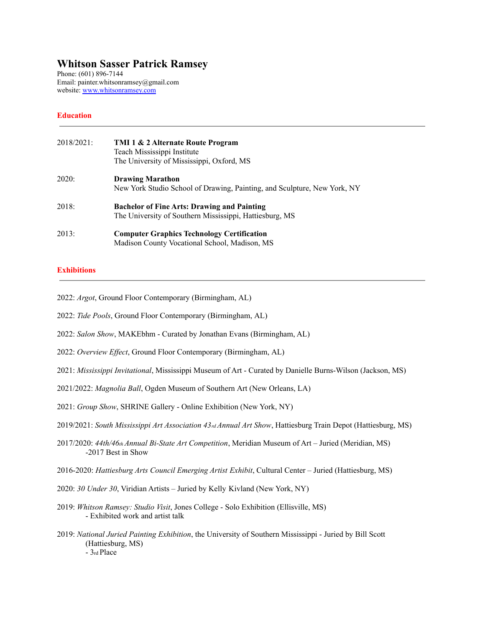# **Whitson Sasser Patrick Ramsey**

Phone: (601) 896-7144 Email: painter.whitsonramsey@gmail.com website: [www.whitsonramsey.com](http://www.whitsonramsey.com)

## **Education**

| 2018/2021: | TMI 1 & 2 Alternate Route Program<br>Teach Mississippi Institute<br>The University of Mississippi, Oxford, MS |
|------------|---------------------------------------------------------------------------------------------------------------|
| 2020:      | <b>Drawing Marathon</b><br>New York Studio School of Drawing, Painting, and Sculpture, New York, NY           |
| 2018:      | <b>Bachelor of Fine Arts: Drawing and Painting</b><br>The University of Southern Mississippi, Hattiesburg, MS |
| 2013:      | <b>Computer Graphics Technology Certification</b><br>Madison County Vocational School, Madison, MS            |

### **Exhibitions**

2022: *Argot*, Ground Floor Contemporary (Birmingham, AL)

2022: *Tide Pools*, Ground Floor Contemporary (Birmingham, AL)

- 2022: *Salon Show*, MAKEbhm Curated by Jonathan Evans (Birmingham, AL)
- 2022: Overview Effect, Ground Floor Contemporary (Birmingham, AL)
- 2021: *Mississippi Invitational*, Mississippi Museum of Art Curated by Danielle Burns-Wilson (Jackson, MS)
- 2021/2022: *Magnolia Ball*, Ogden Museum of Southern Art (New Orleans, LA)
- 2021: *Group Show*, SHRINE Gallery Online Exhibition (New York, NY)
- 2019/2021: *South Mississippi Art Association 43rd Annual Art Show*, Hattiesburg Train Depot (Hattiesburg, MS)
- 2017/2020: *44th/46th Annual Bi-State Art Competition*, Meridian Museum of Art Juried (Meridian, MS) -2017 Best in Show
- 2016-2020: *Hattiesburg Arts Council Emerging Artist Exhibit*, Cultural Center Juried (Hattiesburg, MS)
- 2020: *30 Under 30*, Viridian Artists Juried by Kelly Kivland (New York, NY)
- 2019: *Whitson Ramsey: Studio Visit*, Jones College Solo Exhibition (Ellisville, MS) - Exhibited work and artist talk
- 2019: *National Juried Painting Exhibition*, the University of Southern Mississippi Juried by Bill Scott (Hattiesburg, MS) - 3rd Place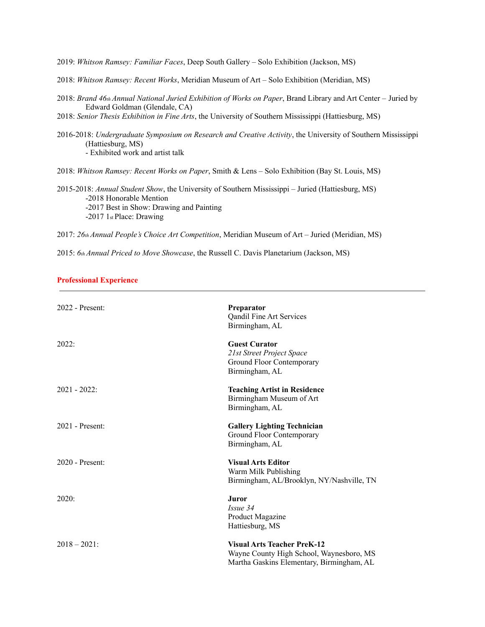2019: *Whitson Ramsey: Familiar Faces*, Deep South Gallery – Solo Exhibition (Jackson, MS)

2018: *Whitson Ramsey: Recent Works*, Meridian Museum of Art – Solo Exhibition (Meridian, MS)

- 2018: *Brand 46th Annual National Juried Exhibition of Works on Paper*, Brand Library and Art Center Juried by Edward Goldman (Glendale, CA)
- 2018: *Senior Thesis Exhibition in Fine Arts*, the University of Southern Mississippi (Hattiesburg, MS)
- 2016-2018: *Undergraduate Symposium on Research and Creative Activity*, the University of Southern Mississippi (Hattiesburg, MS) - Exhibited work and artist talk

2018: *Whitson Ramsey: Recent Works on Paper*, Smith & Lens – Solo Exhibition (Bay St. Louis, MS)

2015-2018: *Annual Student Show*, the University of Southern Mississippi – Juried (Hattiesburg, MS) -2018 Honorable Mention -2017 Best in Show: Drawing and Painting -2017 1st Place: Drawing

2017: *26th Annual People's Choice Art Competition*, Meridian Museum of Art – Juried (Meridian, MS)

2015: *6th Annual Priced to Move Showcase*, the Russell C. Davis Planetarium (Jackson, MS)

#### **Professional Experience**

| $2022$ - Present: | <b>Preparator</b><br>Qandil Fine Art Services<br>Birmingham, AL                                                             |
|-------------------|-----------------------------------------------------------------------------------------------------------------------------|
| 2022:             | <b>Guest Curator</b><br>21st Street Project Space<br>Ground Floor Contemporary<br>Birmingham, AL                            |
| $2021 - 2022$     | <b>Teaching Artist in Residence</b><br>Birmingham Museum of Art<br>Birmingham, AL                                           |
| $2021$ - Present: | <b>Gallery Lighting Technician</b><br>Ground Floor Contemporary<br>Birmingham, AL                                           |
| $2020$ - Present: | <b>Visual Arts Editor</b><br>Warm Milk Publishing<br>Birmingham, AL/Brooklyn, NY/Nashville, TN                              |
| 2020:             | <b>Juror</b><br>Issue 34<br>Product Magazine<br>Hattiesburg, MS                                                             |
| $2018 - 2021$ :   | <b>Visual Arts Teacher PreK-12</b><br>Wayne County High School, Waynesboro, MS<br>Martha Gaskins Elementary, Birmingham, AL |